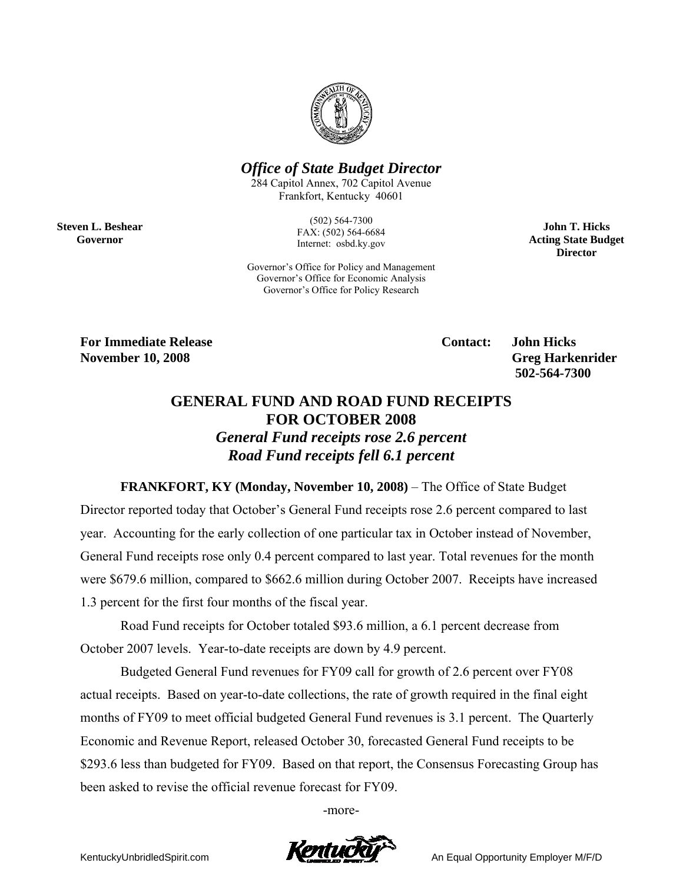

## *Office of State Budget Director*

284 Capitol Annex, 702 Capitol Avenue Frankfort, Kentucky 40601

> (502) 564-7300 FAX: (502) 564-6684 Internet: osbd.ky.gov

Governor's Office for Policy and Management Governor's Office for Economic Analysis Governor's Office for Policy Research

**John T. Hicks Acting State Budget Director** 

**For Immediate Release Contact: John Hicks** 

**Steven L. Beshear Governor** 

> **November 10, 2008** Greg Harkenrider **Greg Harkenrider Greg Harkenrider Greg Harkenrider 502-564-7300**

## **GENERAL FUND AND ROAD FUND RECEIPTS FOR OCTOBER 2008**  *General Fund receipts rose 2.6 percent*

*Road Fund receipts fell 6.1 percent* 

**FRANKFORT, KY (Monday, November 10, 2008)** – The Office of State Budget Director reported today that October's General Fund receipts rose 2.6 percent compared to last year. Accounting for the early collection of one particular tax in October instead of November, General Fund receipts rose only 0.4 percent compared to last year. Total revenues for the month were \$679.6 million, compared to \$662.6 million during October 2007. Receipts have increased 1.3 percent for the first four months of the fiscal year.

Road Fund receipts for October totaled \$93.6 million, a 6.1 percent decrease from October 2007 levels. Year-to-date receipts are down by 4.9 percent.

Budgeted General Fund revenues for FY09 call for growth of 2.6 percent over FY08 actual receipts. Based on year-to-date collections, the rate of growth required in the final eight months of FY09 to meet official budgeted General Fund revenues is 3.1 percent. The Quarterly Economic and Revenue Report, released October 30, forecasted General Fund receipts to be \$293.6 less than budgeted for FY09. Based on that report, the Consensus Forecasting Group has been asked to revise the official revenue forecast for FY09.

-more-

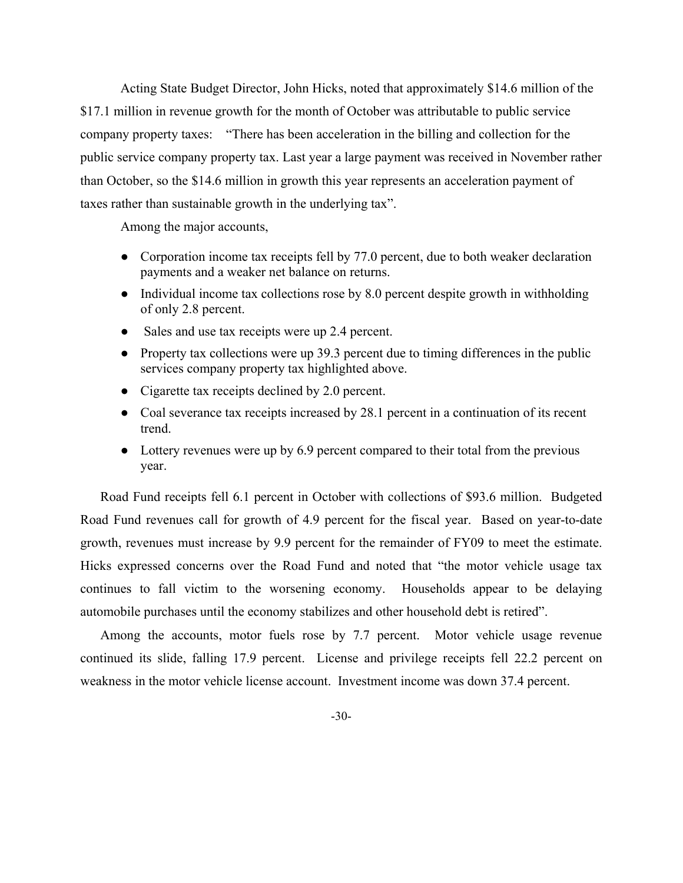Acting State Budget Director, John Hicks, noted that approximately \$14.6 million of the \$17.1 million in revenue growth for the month of October was attributable to public service company property taxes: "There has been acceleration in the billing and collection for the public service company property tax. Last year a large payment was received in November rather than October, so the \$14.6 million in growth this year represents an acceleration payment of taxes rather than sustainable growth in the underlying tax".

Among the major accounts,

- Corporation income tax receipts fell by 77.0 percent, due to both weaker declaration payments and a weaker net balance on returns.
- Individual income tax collections rose by 8.0 percent despite growth in withholding of only 2.8 percent.
- Sales and use tax receipts were up 2.4 percent.
- Property tax collections were up 39.3 percent due to timing differences in the public services company property tax highlighted above.
- Cigarette tax receipts declined by 2.0 percent.
- Coal severance tax receipts increased by 28.1 percent in a continuation of its recent trend.
- Lottery revenues were up by 6.9 percent compared to their total from the previous year.

Road Fund receipts fell 6.1 percent in October with collections of \$93.6 million. Budgeted Road Fund revenues call for growth of 4.9 percent for the fiscal year. Based on year-to-date growth, revenues must increase by 9.9 percent for the remainder of FY09 to meet the estimate. Hicks expressed concerns over the Road Fund and noted that "the motor vehicle usage tax continues to fall victim to the worsening economy. Households appear to be delaying automobile purchases until the economy stabilizes and other household debt is retired".

Among the accounts, motor fuels rose by 7.7 percent. Motor vehicle usage revenue continued its slide, falling 17.9 percent. License and privilege receipts fell 22.2 percent on weakness in the motor vehicle license account. Investment income was down 37.4 percent.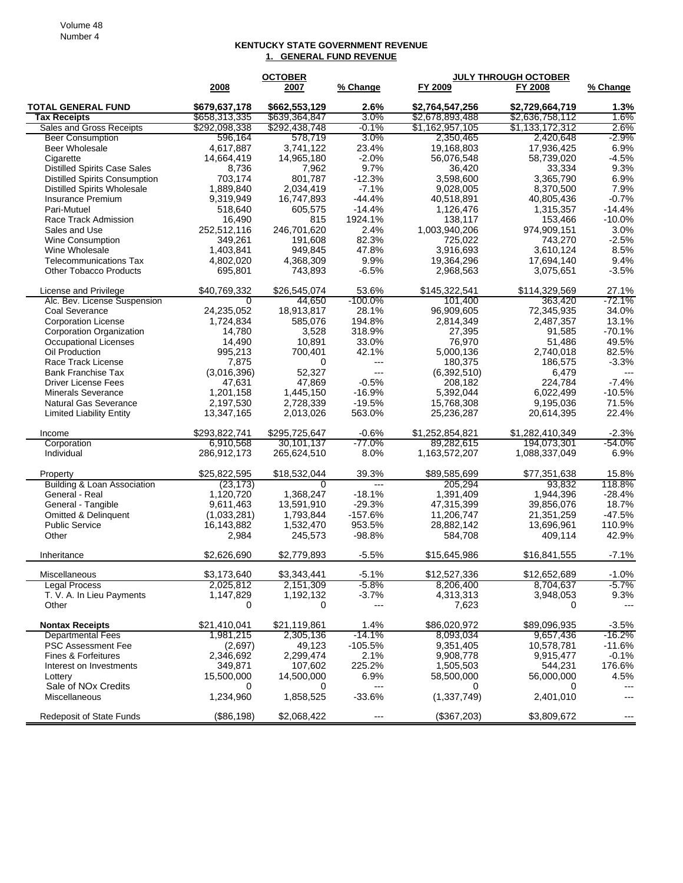## **KENTUCKY STATE GOVERNMENT REVENUE 1. GENERAL FUND REVENUE**

|                                                           |                     | <b>OCTOBER</b>         |                        | <b>JULY THROUGH OCTOBER</b> |                      |                          |
|-----------------------------------------------------------|---------------------|------------------------|------------------------|-----------------------------|----------------------|--------------------------|
|                                                           | 2008                | 2007                   | % Change               | FY 2009                     | FY 2008              | % Change                 |
| <b>TOTAL GENERAL FUND</b>                                 | \$679,637,178       | \$662,553,129          | 2.6%                   | \$2,764,547,256             | \$2,729,664,719      | 1.3%                     |
| <b>Tax Receipts</b>                                       | \$658,313,335       | \$639,364,847          | 3.0%                   | \$2,678,893,488             | \$2,636,758,112      | 1.6%                     |
| Sales and Gross Receipts                                  | \$292,098,338       | \$292,438,748          | $-0.1\%$               | \$1,162,957,105             | \$1,133,172,312      | 2.6%                     |
| <b>Beer Consumption</b>                                   | 596,164             | 578,719                | $3.0\%$                | 2,350,465                   | 2,420,648            | $-2.9\%$                 |
| Beer Wholesale                                            | 4.617.887           | 3,741,122              | 23.4%                  | 19,168,803                  | 17,936,425           | 6.9%                     |
| Cigarette                                                 | 14,664,419          | 14,965,180             | $-2.0%$                | 56,076,548                  | 58,739,020           | $-4.5%$                  |
| <b>Distilled Spirits Case Sales</b>                       | 8,736               | 7,962                  | 9.7%                   | 36,420                      | 33,334               | 9.3%                     |
| <b>Distilled Spirits Consumption</b>                      | 703,174             | 801,787                | $-12.3%$               | 3,598,600                   | 3,365,790            | 6.9%                     |
| <b>Distilled Spirits Wholesale</b>                        | 1,889,840           | 2,034,419              | $-7.1%$                | 9,028,005                   | 8,370,500            | 7.9%                     |
| Insurance Premium                                         | 9,319,949           | 16,747,893             | $-44.4%$               | 40,518,891                  | 40,805,436           | $-0.7%$                  |
| Pari-Mutuel                                               | 518,640             | 605,575                | $-14.4%$               | 1,126,476                   | 1,315,357            | $-14.4%$                 |
| Race Track Admission                                      | 16,490              | 815                    | 1924.1%                | 138,117                     | 153,466              | $-10.0%$                 |
| Sales and Use                                             | 252,512,116         | 246,701,620            | 2.4%                   | 1,003,940,206               | 974,909,151          | 3.0%                     |
| <b>Wine Consumption</b>                                   | 349,261             | 191,608                | 82.3%                  | 725,022                     | 743,270              | $-2.5%$                  |
| Wine Wholesale                                            | 1,403,841           | 949,845                | 47.8%                  | 3,916,693                   | 3,610,124            | 8.5%                     |
| <b>Telecommunications Tax</b>                             | 4,802,020           | 4,368,309              | 9.9%                   | 19,364,296                  | 17,694,140           | 9.4%                     |
| <b>Other Tobacco Products</b>                             | 695,801             | 743,893                | $-6.5%$                | 2,968,563                   | 3,075,651            | $-3.5%$                  |
| License and Privilege                                     | \$40,769,332        | \$26,545,074           | 53.6%                  | \$145,322,541               | \$114,329,569        | 27.1%                    |
| Alc. Bev. License Suspension                              | 0                   | 44,650                 | $-100.0\%$             | 101,400                     | 363,420              | $-72.1%$                 |
| Coal Severance                                            | 24,235,052          | 18,913,817             | 28.1%                  | 96,909,605                  | 72,345,935           | 34.0%                    |
| <b>Corporation License</b>                                | 1,724,834           | 585,076                | 194.8%                 | 2,814,349                   | 2,487,357            | 13.1%                    |
| Corporation Organization                                  | 14,780              | 3,528                  | 318.9%                 | 27,395                      | 91,585               | $-70.1%$                 |
| Occupational Licenses                                     | 14,490              | 10.891                 | 33.0%                  | 76,970                      | 51,486               | 49.5%                    |
| Oil Production                                            | 995,213             | 700,401                | 42.1%                  | 5,000,136                   | 2,740,018            | 82.5%                    |
| Race Track License                                        | 7,875               | 0                      | $---$                  | 180,375                     | 186,575              | $-3.3%$                  |
| <b>Bank Franchise Tax</b>                                 | (3,016,396)         | 52,327                 | $---$                  | (6,392,510)                 | 6,479                | $---$                    |
| <b>Driver License Fees</b>                                | 47,631<br>1,201,158 | 47,869                 | $-0.5%$<br>$-16.9%$    | 208.182<br>5,392,044        | 224,784<br>6,022,499 | $-7.4%$<br>$-10.5%$      |
| <b>Minerals Severance</b><br><b>Natural Gas Severance</b> | 2,197,530           | 1,445,150<br>2,728,339 | $-19.5%$               | 15,768,308                  | 9,195,036            | 71.5%                    |
| <b>Limited Liability Entity</b>                           | 13,347,165          | 2,013,026              | 563.0%                 | 25,236,287                  | 20,614,395           | 22.4%                    |
|                                                           |                     |                        |                        |                             |                      |                          |
| Income                                                    | \$293,822,741       | \$295,725,647          | $-0.6%$                | \$1,252,854,821             | \$1,282,410,349      | $-2.3%$                  |
| Corporation                                               | 6,910,568           | 30,101,137             | -77.0%                 | 89,282,615                  | 194,073,301          | -54.0%                   |
| Individual                                                | 286,912,173         | 265,624,510            | 8.0%                   | 1,163,572,207               | 1,088,337,049        | 6.9%                     |
| Property                                                  | \$25,822,595        | \$18,532,044           | 39.3%                  | \$89,585,699                | \$77,351,638         | 15.8%                    |
| <b>Building &amp; Loan Association</b>                    | (23, 173)           | $\Omega$               | $---$                  | 205,294                     | 93,832               | 118.8%                   |
| General - Real                                            | 1,120,720           | 1,368,247              | $-18.1%$               | 1,391,409                   | 1,944,396            | $-28.4%$                 |
| General - Tangible                                        | 9,611,463           | 13,591,910             | $-29.3%$               | 47,315,399                  | 39,856,076           | 18.7%                    |
| Omitted & Delinquent                                      | (1,033,281)         | 1,793,844              | $-157.6%$              | 11,206,747                  | 21,351,259           | $-47.5%$                 |
| <b>Public Service</b>                                     | 16,143,882          | 1,532,470              | 953.5%                 | 28,882,142                  | 13,696,961           | 110.9%                   |
| Other                                                     | 2,984               | 245,573                | $-98.8%$               | 584,708                     | 409,114              | 42.9%                    |
| Inheritance                                               | \$2.626.690         | \$2,779,893            | $-5.5%$                | \$15,645,986                | \$16,841,555         | $-7.1%$                  |
| Miscellaneous                                             | \$3,173,640         | \$3,343,441            | $-5.1%$                | \$12,527,336                | \$12,652,689         | $-1.0%$                  |
| <b>Legal Process</b>                                      | 2,025,812           | 2,151,309              | $-5.8%$                | 8,206,400                   | 8,704,637            | $-5.7%$                  |
| T. V. A. In Lieu Payments                                 | 1,147,829           | 1,192,132              | $-3.7%$                | 4,313,313                   | 3,948,053            | 9.3%                     |
| Other                                                     | 0                   | 0                      | ---                    | 7,623                       | 0                    | $---$                    |
| <b>Nontax Receipts</b>                                    | \$21,410,041        | \$21,119,861           | 1.4%                   | \$86,020,972                | \$89,096,935         | $-3.5%$                  |
| <b>Departmental Fees</b>                                  | 1,981,215           | 2,305,136              | $-14.1\%$              | 8,093,034                   | 9,657,436            | $-16.2\%$                |
| PSC Assessment Fee                                        | (2,697)             | 49,123                 | $-105.5%$              | 9,351,405                   | 10,578,781           | $-11.6%$                 |
| Fines & Forfeitures                                       | 2,346,692           | 2,299,474              | 2.1%                   | 9,908,778                   | 9,915,477            | $-0.1%$                  |
| Interest on Investments                                   | 349,871             | 107,602                | 225.2%                 | 1,505,503                   | 544,231              | 176.6%                   |
| Lottery                                                   | 15,500,000          | 14,500,000             | 6.9%                   | 58,500,000                  | 56,000,000           | 4.5%                     |
| Sale of NO <sub>x</sub> Credits                           | 0                   | 0                      | $\qquad \qquad \cdots$ | 0                           | 0                    | ---                      |
| Miscellaneous                                             | 1,234,960           | 1,858,525              | $-33.6%$               | (1, 337, 749)               | 2,401,010            | ---                      |
| Redeposit of State Funds                                  | (\$86,198)          | \$2,068,422            | ---                    | (\$367,203)                 | \$3,809,672          | $\overline{\phantom{a}}$ |